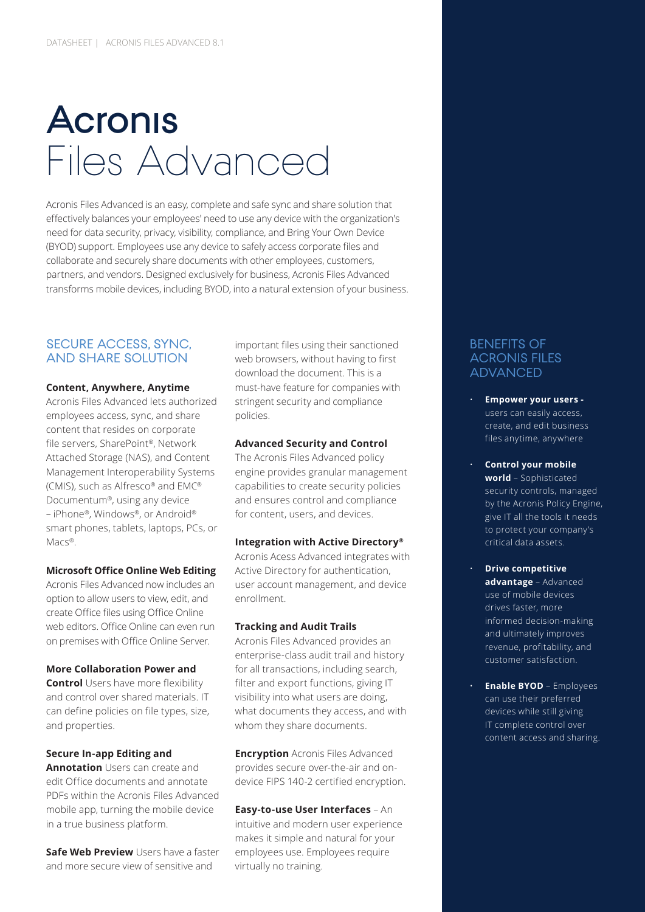# Files Advanced **Acronis**

Acronis Files Advanced is an easy, complete and safe sync and share solution that effectively balances your employees' need to use any device with the organization's need for data security, privacy, visibility, compliance, and Bring Your Own Device (BYOD) support. Employees use any device to safely access corporate files and collaborate and securely share documents with other employees, customers, partners, and vendors. Designed exclusively for business, Acronis Files Advanced transforms mobile devices, including BYOD, into a natural extension of your business.

# SECURE ACCESS, SYNC, AND SHARE SOLUTION

#### **Content, Anywhere, Anytime**

Acronis Files Advanced lets authorized employees access, sync, and share content that resides on corporate file servers, SharePoint®, Network Attached Storage (NAS), and Content Management Interoperability Systems (CMIS), such as Alfresco® and EMC® Documentum®, using any device – iPhone®, Windows®, or Android® smart phones, tablets, laptops, PCs, or Mars<sup>®</sup>

#### **Microsoft Office Online Web Editing**

Acronis Files Advanced now includes an option to allow users to view, edit, and create Office files using Office Online web editors. Office Online can even run on premises with Office Online Server.

#### **More Collaboration Power and**

**Control** Users have more flexibility and control over shared materials. IT can define policies on file types, size, and properties.

#### **Secure In-app Editing and**

**Annotation** Users can create and edit Office documents and annotate PDFs within the Acronis Files Advanced mobile app, turning the mobile device in a true business platform.

**Safe Web Preview** Users have a faster and more secure view of sensitive and

important files using their sanctioned web browsers, without having to first download the document. This is a must-have feature for companies with stringent security and compliance policies.

#### **Advanced Security and Control**

The Acronis Files Advanced policy engine provides granular management capabilities to create security policies and ensures control and compliance for content, users, and devices.

#### **Integration with Active Directory®**

Acronis Acess Advanced integrates with Active Directory for authentication, user account management, and device enrollment.

#### **Tracking and Audit Trails**

Acronis Files Advanced provides an enterprise-class audit trail and history for all transactions, including search, filter and export functions, giving IT visibility into what users are doing, what documents they access, and with whom they share documents.

**Encryption** Acronis Files Advanced provides secure over-the-air and ondevice FIPS 140-2 certified encryption.

#### **Easy-to-use User Interfaces** – An

intuitive and modern user experience makes it simple and natural for your employees use. Employees require virtually no training.

#### BENEFITS OF ACRONIS FILES ADVANCED

- **Empower your users**  users can easily access, create, and edit business files anytime, anywhere
- **Control your mobile world** – Sophisticated security controls, managed by the Acronis Policy Engine, give IT all the tools it needs to protect your company's critical data assets.
- **Drive competitive advantage** – Advanced use of mobile devices drives faster, more informed decision-making and ultimately improves revenue, profitability, and customer satisfaction.
- **Enable BYOD** Employees can use their preferred devices while still giving IT complete control over content access and sharing.